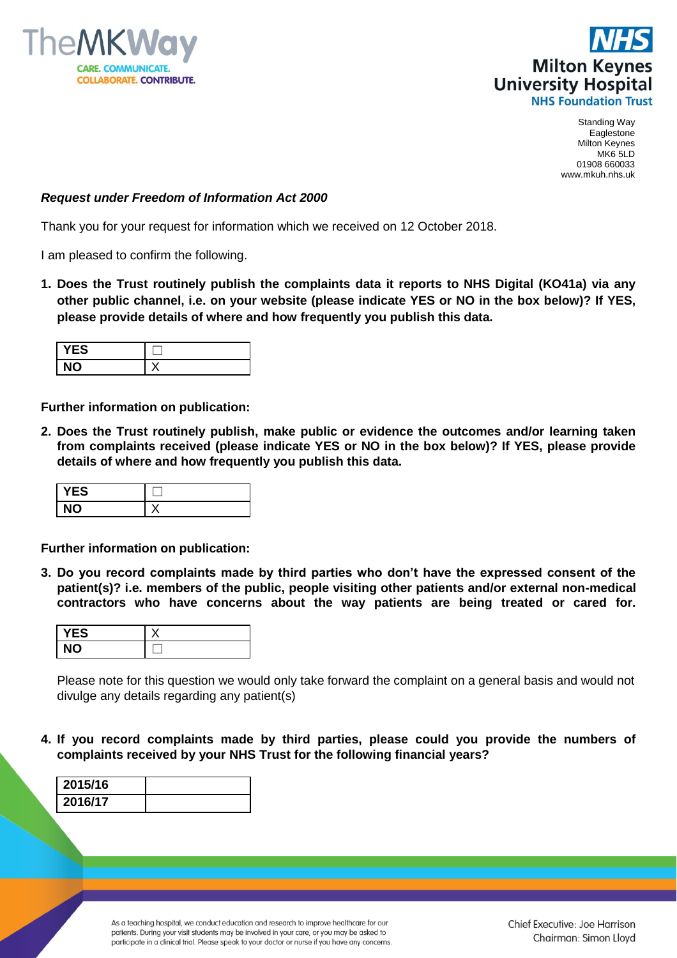



## *Request under Freedom of Information Act 2000*

Thank you for your request for information which we received on 12 October 2018.

I am pleased to confirm the following.

**1. Does the Trust routinely publish the complaints data it reports to NHS Digital (KO41a) via any other public channel, i.e. on your website (please indicate YES or NO in the box below)? If YES, please provide details of where and how frequently you publish this data.**

| ES<br>- |     |
|---------|-----|
|         | . . |

**Further information on publication:**

**2. Does the Trust routinely publish, make public or evidence the outcomes and/or learning taken from complaints received (please indicate YES or NO in the box below)? If YES, please provide details of where and how frequently you publish this data.**

| <b>/ES</b> |  |
|------------|--|
|            |  |

**Further information on publication:**

**3. Do you record complaints made by third parties who don't have the expressed consent of the patient(s)? i.e. members of the public, people visiting other patients and/or external non-medical contractors who have concerns about the way patients are being treated or cared for.**

| <b>'ES</b> |  |
|------------|--|
| <b>NO</b>  |  |

Please note for this question we would only take forward the complaint on a general basis and would not divulge any details regarding any patient(s)

**4. If you record complaints made by third parties, please could you provide the numbers of complaints received by your NHS Trust for the following financial years?** 

| 2015/16 |  |
|---------|--|
| 2016/17 |  |

As a teaching hospital, we conduct education and research to improve healthcare for our patients. During your visit students may be involved in your care, or you may be asked to participate in a clinical trial. Please speak to your doctor or nurse if you have any concerns.